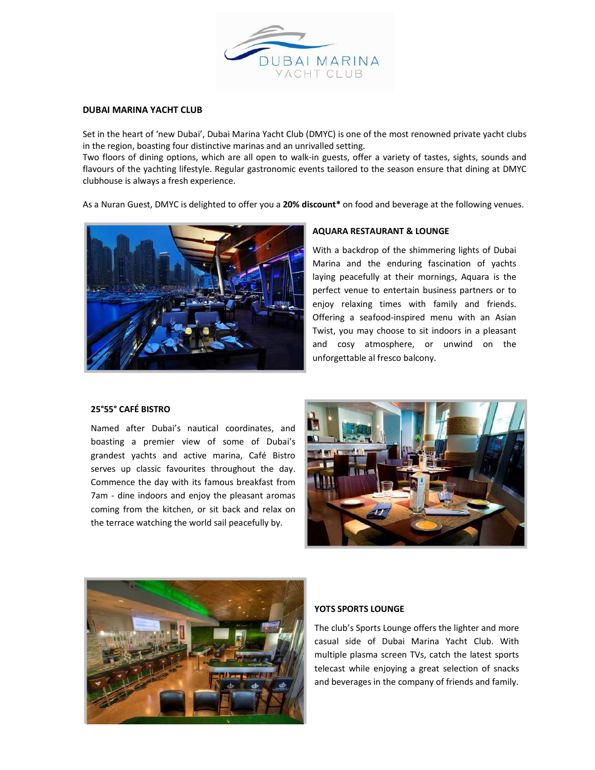

## DUBAI MARINA YACHT CLUB

Set in the heart of 'new Dubai', Dubai Marina Yacht Club (DMYC) is one of the most renowned private yacht clubs in the region, boasting four distinctive marinas and an unrivalled setting.

Two floors of dining options, which are all open to walk-in guests, offer a variety of tastes, sights, sounds and flavours of the yachting lifestyle. Regular gastronomic events tailored to the season ensure that dining at DMYC clubhouse is always a fresh experience.

As a Nuran Guest, DMYC is delighted to offer you a 20% discount\* on food and beverage at the following venues.



#### AQUARA RESTAURANT & LOUNGE

With a backdrop of the shimmering lights of Dubai Marina and the enduring fascination of yachts laying peacefully at their mornings, Aquara is the perfect venue to entertain business partners or to enjoy relaxing times with family and friends. Offering a seafood-inspired menu with an Asian Twist, you may choose to sit indoors in a pleasant and cosy atmosphere, or unwind on the unforgettable al fresco balcony.

### 25°55° CAFÉ BISTRO

Named after Dubai's nautical coordinates, and boasting a premier view of some of Dubai's grandest yachts and active marina, Café Bistro serves up classic favourites throughout the day. Commence the day with its famous breakfast from 7am - dine indoors and enjoy the pleasant aromas coming from the kitchen, or sit back and relax on the terrace watching the world sail peacefully by.





## YOTS SPORTS LOUNGE

The club's Sports Lounge offers the lighter and more casual side of Dubai Marina Yacht Club. With multiple plasma screen TVs, catch the latest sports telecast while enjoying a great selection of snacks and beverages in the company of friends and family.